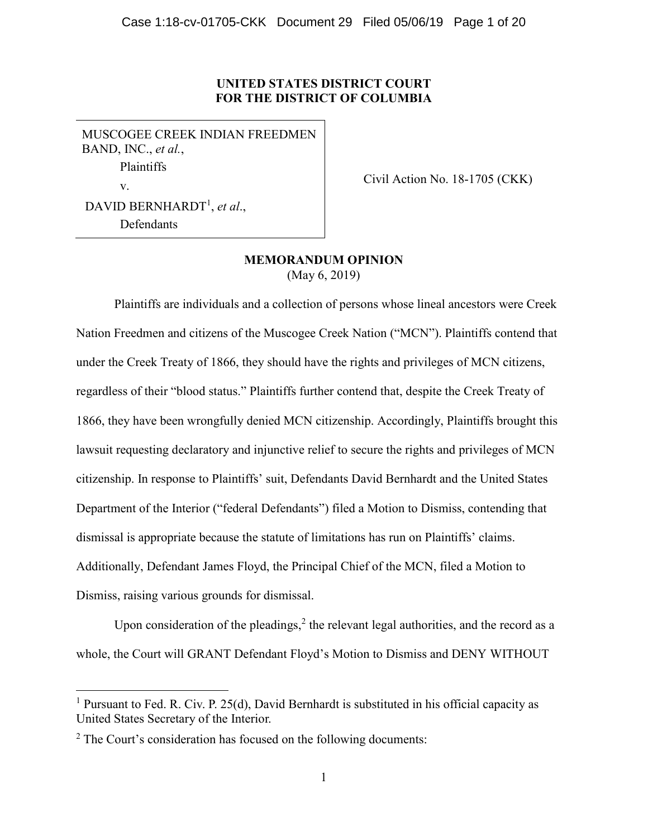# **UNITED STATES DISTRICT COURT FOR THE DISTRICT OF COLUMBIA**

MUSCOGEE CREEK INDIAN FREEDMEN BAND, INC., *et al.*, Plaintiffs v. DAVID BERNHARDT<sup>1</sup> , *et al*., Defendants

Civil Action No. 18-1705 (CKK)

# **MEMORANDUM OPINION** (May 6, 2019)

Plaintiffs are individuals and a collection of persons whose lineal ancestors were Creek Nation Freedmen and citizens of the Muscogee Creek Nation ("MCN"). Plaintiffs contend that under the Creek Treaty of 1866, they should have the rights and privileges of MCN citizens, regardless of their "blood status." Plaintiffs further contend that, despite the Creek Treaty of 1866, they have been wrongfully denied MCN citizenship. Accordingly, Plaintiffs brought this lawsuit requesting declaratory and injunctive relief to secure the rights and privileges of MCN citizenship. In response to Plaintiffs' suit, Defendants David Bernhardt and the United States Department of the Interior ("federal Defendants") filed a Motion to Dismiss, contending that dismissal is appropriate because the statute of limitations has run on Plaintiffs' claims. Additionally, Defendant James Floyd, the Principal Chief of the MCN, filed a Motion to Dismiss, raising various grounds for dismissal.

Upon consideration of the pleadings, $<sup>2</sup>$  the relevant legal authorities, and the record as a</sup> whole, the Court will GRANT Defendant Floyd's Motion to Dismiss and DENY WITHOUT

 $\overline{a}$ 

<sup>&</sup>lt;sup>1</sup> Pursuant to Fed. R. Civ. P. 25(d), David Bernhardt is substituted in his official capacity as United States Secretary of the Interior.

<sup>&</sup>lt;sup>2</sup> The Court's consideration has focused on the following documents: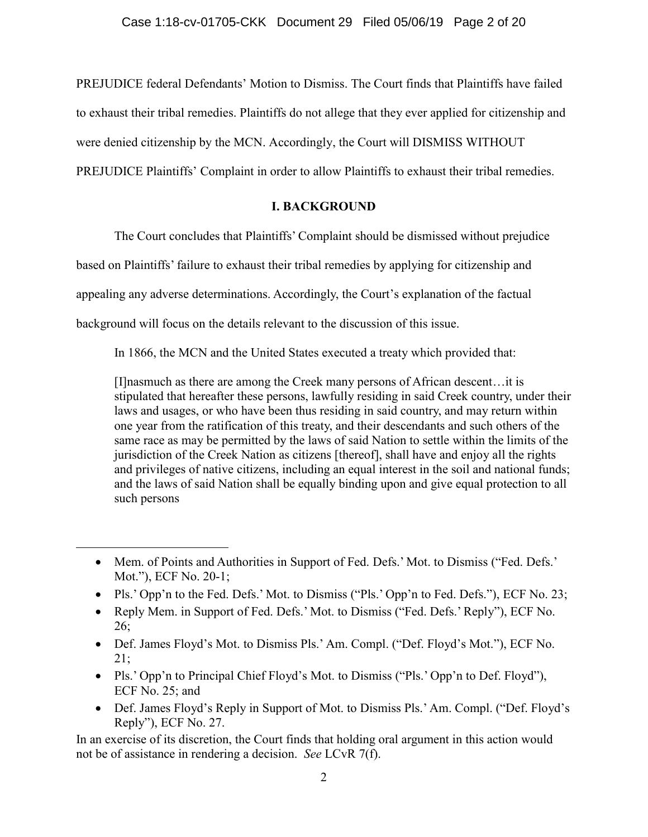PREJUDICE federal Defendants' Motion to Dismiss. The Court finds that Plaintiffs have failed to exhaust their tribal remedies. Plaintiffs do not allege that they ever applied for citizenship and were denied citizenship by the MCN. Accordingly, the Court will DISMISS WITHOUT PREJUDICE Plaintiffs' Complaint in order to allow Plaintiffs to exhaust their tribal remedies.

# **I. BACKGROUND**

The Court concludes that Plaintiffs' Complaint should be dismissed without prejudice

based on Plaintiffs' failure to exhaust their tribal remedies by applying for citizenship and

appealing any adverse determinations. Accordingly, the Court's explanation of the factual

background will focus on the details relevant to the discussion of this issue.

 $\overline{a}$ 

In 1866, the MCN and the United States executed a treaty which provided that:

[I]nasmuch as there are among the Creek many persons of African descent…it is stipulated that hereafter these persons, lawfully residing in said Creek country, under their laws and usages, or who have been thus residing in said country, and may return within one year from the ratification of this treaty, and their descendants and such others of the same race as may be permitted by the laws of said Nation to settle within the limits of the jurisdiction of the Creek Nation as citizens [thereof], shall have and enjoy all the rights and privileges of native citizens, including an equal interest in the soil and national funds; and the laws of said Nation shall be equally binding upon and give equal protection to all such persons

- Pls.' Opp'n to the Fed. Defs.' Mot. to Dismiss ("Pls.' Opp'n to Fed. Defs."), ECF No. 23;
- Reply Mem. in Support of Fed. Defs.' Mot. to Dismiss ("Fed. Defs.' Reply"), ECF No. 26;
- Def. James Floyd's Mot. to Dismiss Pls.' Am. Compl. ("Def. Floyd's Mot."), ECF No. 21;
- Pls.' Opp'n to Principal Chief Floyd's Mot. to Dismiss ("Pls.' Opp'n to Def. Floyd"), ECF No. 25; and
- Def. James Floyd's Reply in Support of Mot. to Dismiss Pls.' Am. Compl. ("Def. Floyd's Reply"), ECF No. 27.

In an exercise of its discretion, the Court finds that holding oral argument in this action would not be of assistance in rendering a decision. *See* LCvR 7(f).

<sup>•</sup> Mem. of Points and Authorities in Support of Fed. Defs.' Mot. to Dismiss ("Fed. Defs.' Mot."), ECF No. 20-1;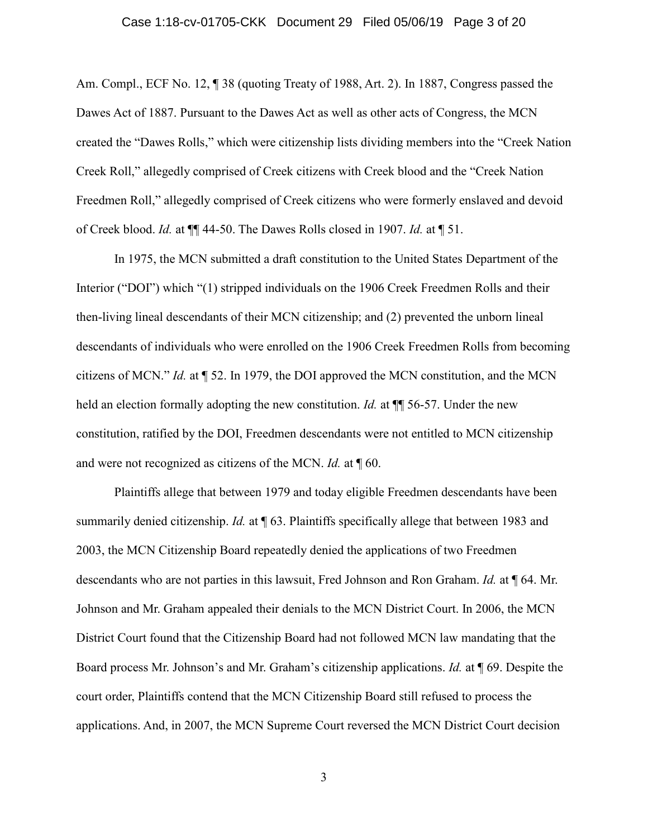#### Case 1:18-cv-01705-CKK Document 29 Filed 05/06/19 Page 3 of 20

Am. Compl., ECF No. 12, ¶ 38 (quoting Treaty of 1988, Art. 2). In 1887, Congress passed the Dawes Act of 1887. Pursuant to the Dawes Act as well as other acts of Congress, the MCN created the "Dawes Rolls," which were citizenship lists dividing members into the "Creek Nation Creek Roll," allegedly comprised of Creek citizens with Creek blood and the "Creek Nation Freedmen Roll," allegedly comprised of Creek citizens who were formerly enslaved and devoid of Creek blood. *Id.* at ¶¶ 44-50. The Dawes Rolls closed in 1907. *Id.* at ¶ 51.

In 1975, the MCN submitted a draft constitution to the United States Department of the Interior ("DOI") which "(1) stripped individuals on the 1906 Creek Freedmen Rolls and their then-living lineal descendants of their MCN citizenship; and (2) prevented the unborn lineal descendants of individuals who were enrolled on the 1906 Creek Freedmen Rolls from becoming citizens of MCN." *Id.* at ¶ 52. In 1979, the DOI approved the MCN constitution, and the MCN held an election formally adopting the new constitution. *Id.* at  $\P$  56-57. Under the new constitution, ratified by the DOI, Freedmen descendants were not entitled to MCN citizenship and were not recognized as citizens of the MCN. *Id.* at ¶ 60.

Plaintiffs allege that between 1979 and today eligible Freedmen descendants have been summarily denied citizenship. *Id.* at ¶ 63. Plaintiffs specifically allege that between 1983 and 2003, the MCN Citizenship Board repeatedly denied the applications of two Freedmen descendants who are not parties in this lawsuit, Fred Johnson and Ron Graham. *Id.* at ¶ 64. Mr. Johnson and Mr. Graham appealed their denials to the MCN District Court. In 2006, the MCN District Court found that the Citizenship Board had not followed MCN law mandating that the Board process Mr. Johnson's and Mr. Graham's citizenship applications. *Id.* at ¶ 69. Despite the court order, Plaintiffs contend that the MCN Citizenship Board still refused to process the applications. And, in 2007, the MCN Supreme Court reversed the MCN District Court decision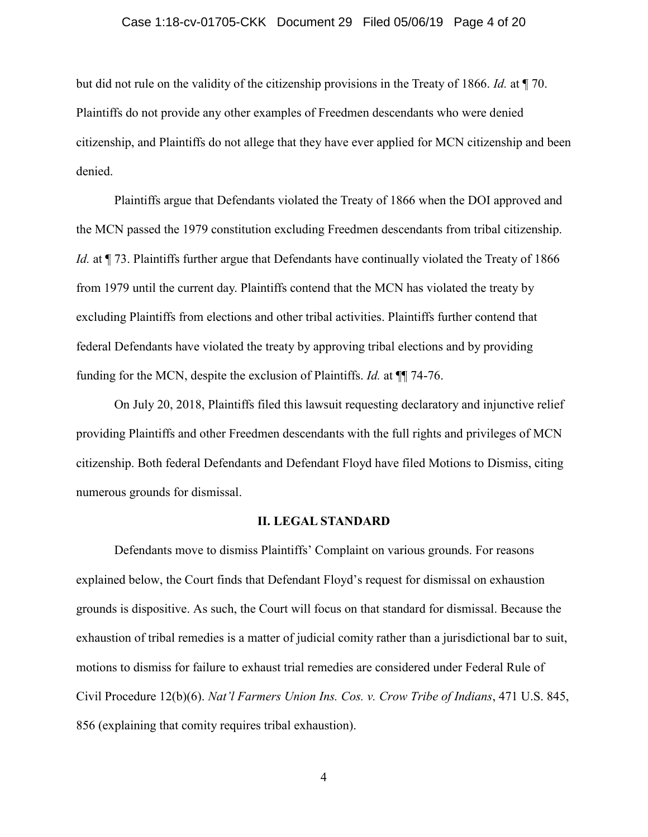### Case 1:18-cv-01705-CKK Document 29 Filed 05/06/19 Page 4 of 20

but did not rule on the validity of the citizenship provisions in the Treaty of 1866. *Id.* at ¶ 70. Plaintiffs do not provide any other examples of Freedmen descendants who were denied citizenship, and Plaintiffs do not allege that they have ever applied for MCN citizenship and been denied.

Plaintiffs argue that Defendants violated the Treaty of 1866 when the DOI approved and the MCN passed the 1979 constitution excluding Freedmen descendants from tribal citizenship. *Id.* at  $\P$  73. Plaintiffs further argue that Defendants have continually violated the Treaty of 1866 from 1979 until the current day. Plaintiffs contend that the MCN has violated the treaty by excluding Plaintiffs from elections and other tribal activities. Plaintiffs further contend that federal Defendants have violated the treaty by approving tribal elections and by providing funding for the MCN, despite the exclusion of Plaintiffs. *Id.* at ¶¶ 74-76.

On July 20, 2018, Plaintiffs filed this lawsuit requesting declaratory and injunctive relief providing Plaintiffs and other Freedmen descendants with the full rights and privileges of MCN citizenship. Both federal Defendants and Defendant Floyd have filed Motions to Dismiss, citing numerous grounds for dismissal.

#### **II. LEGAL STANDARD**

Defendants move to dismiss Plaintiffs' Complaint on various grounds. For reasons explained below, the Court finds that Defendant Floyd's request for dismissal on exhaustion grounds is dispositive. As such, the Court will focus on that standard for dismissal. Because the exhaustion of tribal remedies is a matter of judicial comity rather than a jurisdictional bar to suit, motions to dismiss for failure to exhaust trial remedies are considered under Federal Rule of Civil Procedure 12(b)(6). *Nat'l Farmers Union Ins. Cos. v. Crow Tribe of Indians*, 471 U.S. 845, 856 (explaining that comity requires tribal exhaustion).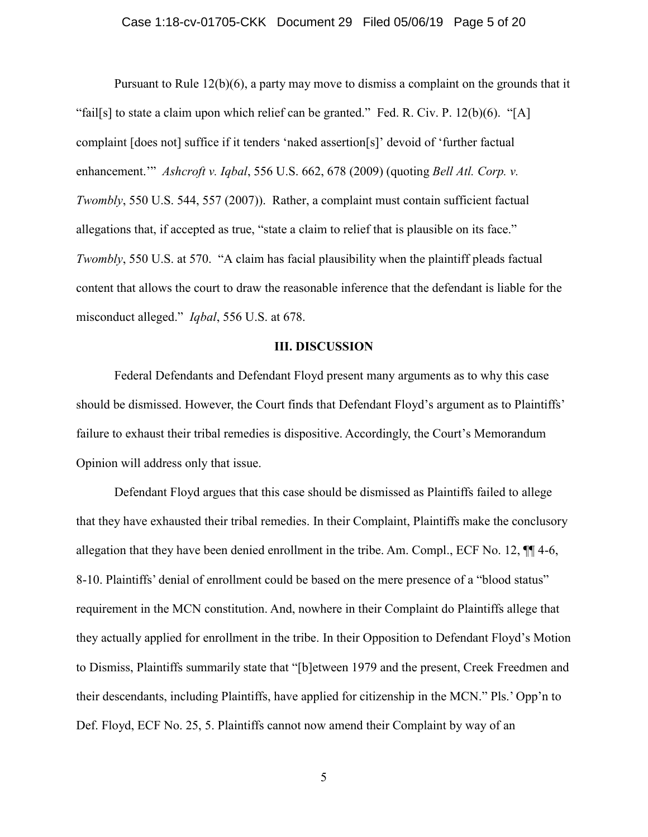#### Case 1:18-cv-01705-CKK Document 29 Filed 05/06/19 Page 5 of 20

Pursuant to Rule 12(b)(6), a party may move to dismiss a complaint on the grounds that it "fail[s] to state a claim upon which relief can be granted." Fed. R. Civ. P.  $12(b)(6)$ . "[A] complaint [does not] suffice if it tenders 'naked assertion[s]' devoid of 'further factual enhancement.'" *Ashcroft v. Iqbal*, 556 U.S. 662, 678 (2009) (quoting *Bell Atl. Corp. v. Twombly*, 550 U.S. 544, 557 (2007)). Rather, a complaint must contain sufficient factual allegations that, if accepted as true, "state a claim to relief that is plausible on its face." *Twombly*, 550 U.S. at 570. "A claim has facial plausibility when the plaintiff pleads factual content that allows the court to draw the reasonable inference that the defendant is liable for the misconduct alleged." *Iqbal*, 556 U.S. at 678.

#### **III. DISCUSSION**

Federal Defendants and Defendant Floyd present many arguments as to why this case should be dismissed. However, the Court finds that Defendant Floyd's argument as to Plaintiffs' failure to exhaust their tribal remedies is dispositive. Accordingly, the Court's Memorandum Opinion will address only that issue.

Defendant Floyd argues that this case should be dismissed as Plaintiffs failed to allege that they have exhausted their tribal remedies. In their Complaint, Plaintiffs make the conclusory allegation that they have been denied enrollment in the tribe. Am. Compl., ECF No. 12, ¶¶ 4-6, 8-10. Plaintiffs' denial of enrollment could be based on the mere presence of a "blood status" requirement in the MCN constitution. And, nowhere in their Complaint do Plaintiffs allege that they actually applied for enrollment in the tribe. In their Opposition to Defendant Floyd's Motion to Dismiss, Plaintiffs summarily state that "[b]etween 1979 and the present, Creek Freedmen and their descendants, including Plaintiffs, have applied for citizenship in the MCN." Pls.' Opp'n to Def. Floyd, ECF No. 25, 5. Plaintiffs cannot now amend their Complaint by way of an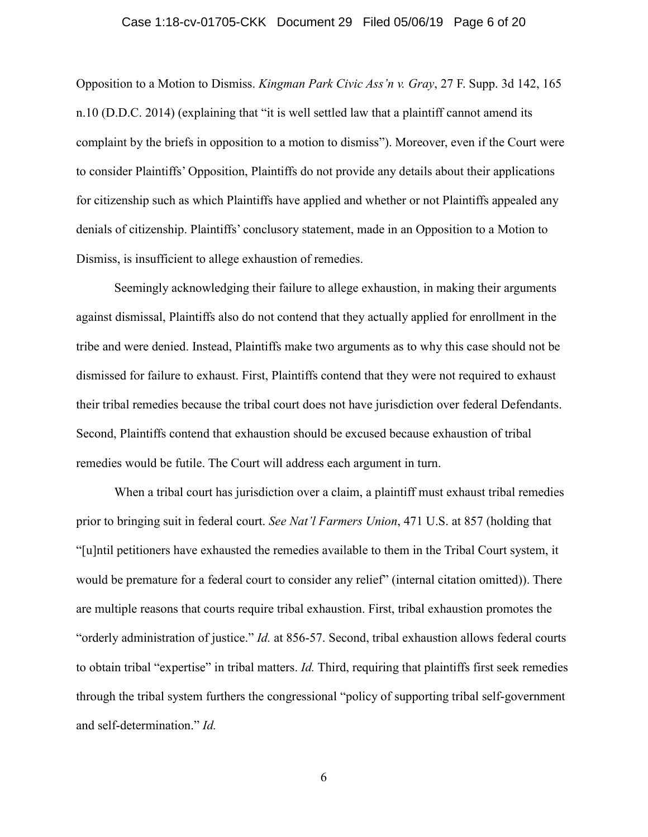### Case 1:18-cv-01705-CKK Document 29 Filed 05/06/19 Page 6 of 20

Opposition to a Motion to Dismiss. *Kingman Park Civic Ass'n v. Gray*, 27 F. Supp. 3d 142, 165 n.10 (D.D.C. 2014) (explaining that "it is well settled law that a plaintiff cannot amend its complaint by the briefs in opposition to a motion to dismiss"). Moreover, even if the Court were to consider Plaintiffs' Opposition, Plaintiffs do not provide any details about their applications for citizenship such as which Plaintiffs have applied and whether or not Plaintiffs appealed any denials of citizenship. Plaintiffs' conclusory statement, made in an Opposition to a Motion to Dismiss, is insufficient to allege exhaustion of remedies.

Seemingly acknowledging their failure to allege exhaustion, in making their arguments against dismissal, Plaintiffs also do not contend that they actually applied for enrollment in the tribe and were denied. Instead, Plaintiffs make two arguments as to why this case should not be dismissed for failure to exhaust. First, Plaintiffs contend that they were not required to exhaust their tribal remedies because the tribal court does not have jurisdiction over federal Defendants. Second, Plaintiffs contend that exhaustion should be excused because exhaustion of tribal remedies would be futile. The Court will address each argument in turn.

When a tribal court has jurisdiction over a claim, a plaintiff must exhaust tribal remedies prior to bringing suit in federal court. *See Nat'l Farmers Union*, 471 U.S. at 857 (holding that "[u]ntil petitioners have exhausted the remedies available to them in the Tribal Court system, it would be premature for a federal court to consider any relief" (internal citation omitted)). There are multiple reasons that courts require tribal exhaustion. First, tribal exhaustion promotes the "orderly administration of justice." *Id.* at 856-57. Second, tribal exhaustion allows federal courts to obtain tribal "expertise" in tribal matters. *Id.* Third, requiring that plaintiffs first seek remedies through the tribal system furthers the congressional "policy of supporting tribal self-government and self-determination." *Id.*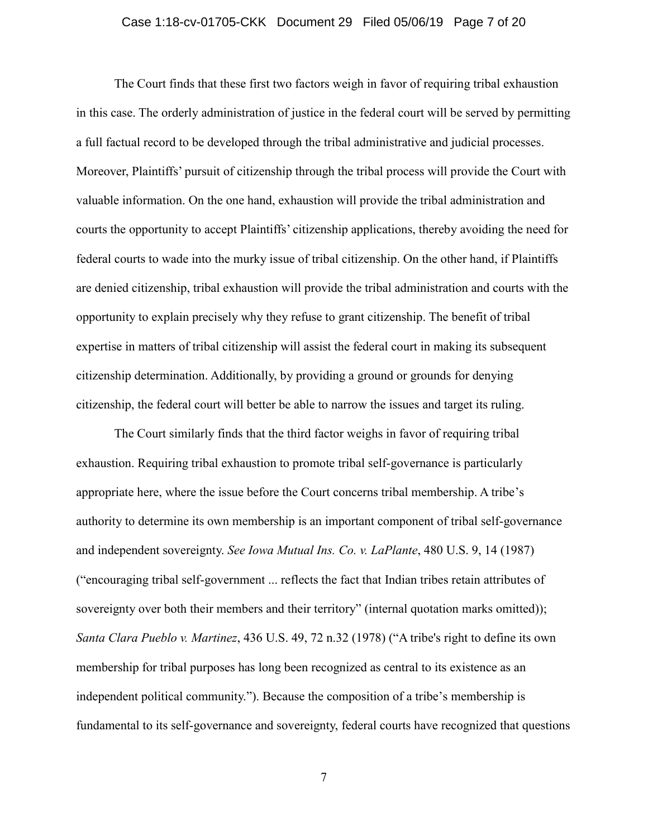### Case 1:18-cv-01705-CKK Document 29 Filed 05/06/19 Page 7 of 20

The Court finds that these first two factors weigh in favor of requiring tribal exhaustion in this case. The orderly administration of justice in the federal court will be served by permitting a full factual record to be developed through the tribal administrative and judicial processes. Moreover, Plaintiffs' pursuit of citizenship through the tribal process will provide the Court with valuable information. On the one hand, exhaustion will provide the tribal administration and courts the opportunity to accept Plaintiffs' citizenship applications, thereby avoiding the need for federal courts to wade into the murky issue of tribal citizenship. On the other hand, if Plaintiffs are denied citizenship, tribal exhaustion will provide the tribal administration and courts with the opportunity to explain precisely why they refuse to grant citizenship. The benefit of tribal expertise in matters of tribal citizenship will assist the federal court in making its subsequent citizenship determination. Additionally, by providing a ground or grounds for denying citizenship, the federal court will better be able to narrow the issues and target its ruling.

The Court similarly finds that the third factor weighs in favor of requiring tribal exhaustion. Requiring tribal exhaustion to promote tribal self-governance is particularly appropriate here, where the issue before the Court concerns tribal membership. A tribe's authority to determine its own membership is an important component of tribal self-governance and independent sovereignty. *See Iowa Mutual Ins. Co. v. LaPlante*, 480 U.S. 9, 14 (1987) ("encouraging tribal self-government ... reflects the fact that Indian tribes retain attributes of sovereignty over both their members and their territory" (internal quotation marks omitted)); *Santa Clara Pueblo v. Martinez*, 436 U.S. 49, 72 n.32 (1978) ("A tribe's right to define its own membership for tribal purposes has long been recognized as central to its existence as an independent political community."). Because the composition of a tribe's membership is fundamental to its self-governance and sovereignty, federal courts have recognized that questions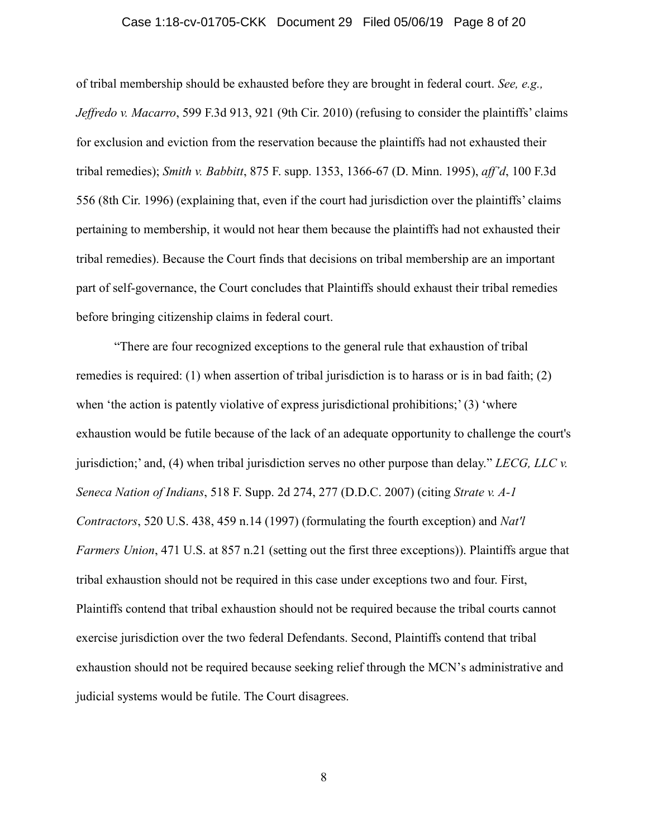#### Case 1:18-cv-01705-CKK Document 29 Filed 05/06/19 Page 8 of 20

of tribal membership should be exhausted before they are brought in federal court. *See, e.g., Jeffredo v. Macarro*, 599 F.3d 913, 921 (9th Cir. 2010) (refusing to consider the plaintiffs' claims for exclusion and eviction from the reservation because the plaintiffs had not exhausted their tribal remedies); *Smith v. Babbitt*, 875 F. supp. 1353, 1366-67 (D. Minn. 1995), *aff'd*, 100 F.3d 556 (8th Cir. 1996) (explaining that, even if the court had jurisdiction over the plaintiffs' claims pertaining to membership, it would not hear them because the plaintiffs had not exhausted their tribal remedies). Because the Court finds that decisions on tribal membership are an important part of self-governance, the Court concludes that Plaintiffs should exhaust their tribal remedies before bringing citizenship claims in federal court.

"There are four recognized exceptions to the general rule that exhaustion of tribal remedies is required: (1) when assertion of tribal jurisdiction is to harass or is in bad faith; (2) when 'the action is patently violative of express jurisdictional prohibitions;' (3) 'where exhaustion would be futile because of the lack of an adequate opportunity to challenge the court's jurisdiction;' and, (4) when tribal jurisdiction serves no other purpose than delay." *LECG, LLC v. Seneca Nation of Indians*, 518 F. Supp. 2d 274, 277 (D.D.C. 2007) (citing *Strate v. A-1 Contractors*, 520 U.S. 438, 459 n.14 (1997) (formulating the fourth exception) and *Nat'l Farmers Union*, 471 U.S. at 857 n.21 (setting out the first three exceptions)). Plaintiffs argue that tribal exhaustion should not be required in this case under exceptions two and four. First, Plaintiffs contend that tribal exhaustion should not be required because the tribal courts cannot exercise jurisdiction over the two federal Defendants. Second, Plaintiffs contend that tribal exhaustion should not be required because seeking relief through the MCN's administrative and judicial systems would be futile. The Court disagrees.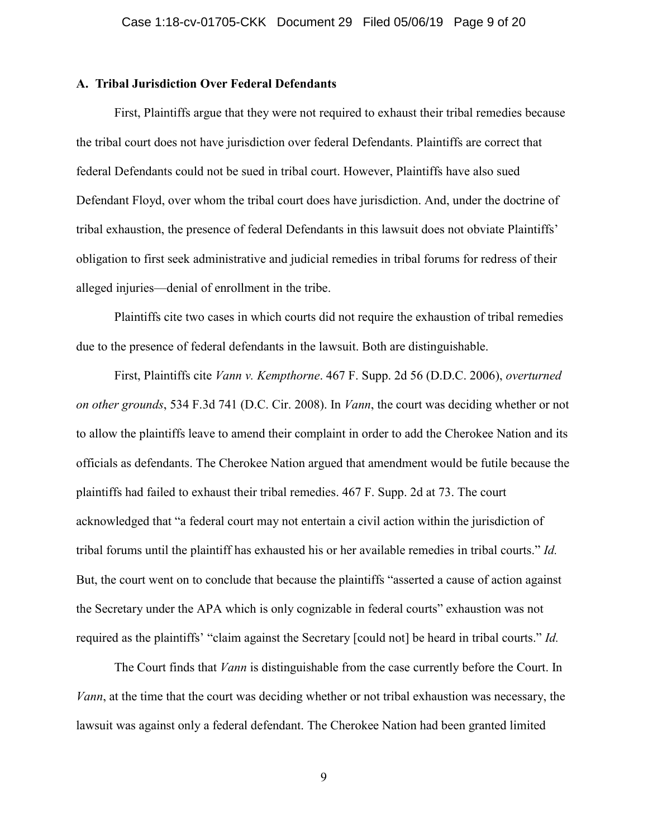## **A. Tribal Jurisdiction Over Federal Defendants**

First, Plaintiffs argue that they were not required to exhaust their tribal remedies because the tribal court does not have jurisdiction over federal Defendants. Plaintiffs are correct that federal Defendants could not be sued in tribal court. However, Plaintiffs have also sued Defendant Floyd, over whom the tribal court does have jurisdiction. And, under the doctrine of tribal exhaustion, the presence of federal Defendants in this lawsuit does not obviate Plaintiffs' obligation to first seek administrative and judicial remedies in tribal forums for redress of their alleged injuries—denial of enrollment in the tribe.

Plaintiffs cite two cases in which courts did not require the exhaustion of tribal remedies due to the presence of federal defendants in the lawsuit. Both are distinguishable.

First, Plaintiffs cite *Vann v. Kempthorne*. 467 F. Supp. 2d 56 (D.D.C. 2006), *overturned on other grounds*, 534 F.3d 741 (D.C. Cir. 2008). In *Vann*, the court was deciding whether or not to allow the plaintiffs leave to amend their complaint in order to add the Cherokee Nation and its officials as defendants. The Cherokee Nation argued that amendment would be futile because the plaintiffs had failed to exhaust their tribal remedies. 467 F. Supp. 2d at 73. The court acknowledged that "a federal court may not entertain a civil action within the jurisdiction of tribal forums until the plaintiff has exhausted his or her available remedies in tribal courts." *Id.* But, the court went on to conclude that because the plaintiffs "asserted a cause of action against the Secretary under the APA which is only cognizable in federal courts" exhaustion was not required as the plaintiffs' "claim against the Secretary [could not] be heard in tribal courts." *Id.*

The Court finds that *Vann* is distinguishable from the case currently before the Court. In *Vann*, at the time that the court was deciding whether or not tribal exhaustion was necessary, the lawsuit was against only a federal defendant. The Cherokee Nation had been granted limited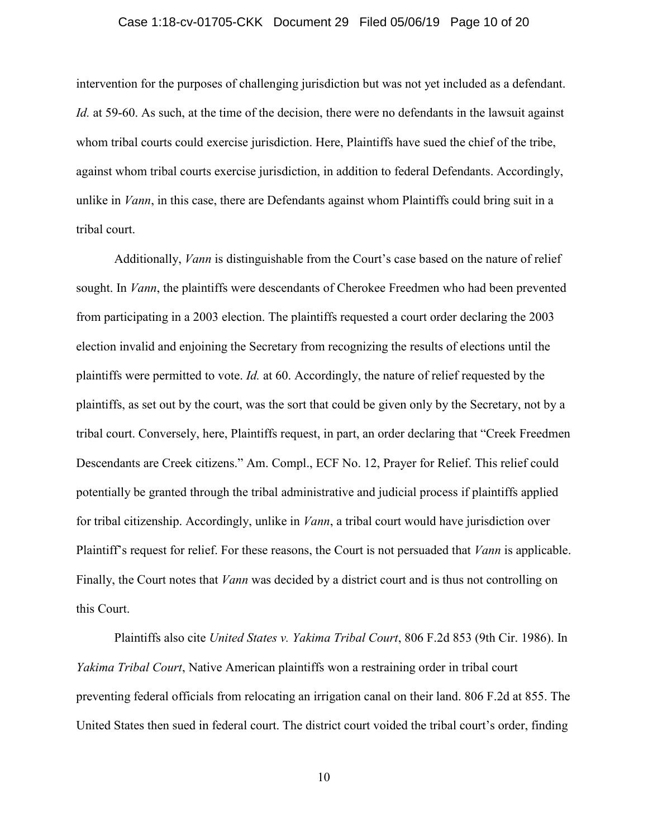### Case 1:18-cv-01705-CKK Document 29 Filed 05/06/19 Page 10 of 20

intervention for the purposes of challenging jurisdiction but was not yet included as a defendant. *Id.* at 59-60. As such, at the time of the decision, there were no defendants in the lawsuit against whom tribal courts could exercise jurisdiction. Here, Plaintiffs have sued the chief of the tribe, against whom tribal courts exercise jurisdiction, in addition to federal Defendants. Accordingly, unlike in *Vann*, in this case, there are Defendants against whom Plaintiffs could bring suit in a tribal court.

Additionally, *Vann* is distinguishable from the Court's case based on the nature of relief sought. In *Vann*, the plaintiffs were descendants of Cherokee Freedmen who had been prevented from participating in a 2003 election. The plaintiffs requested a court order declaring the 2003 election invalid and enjoining the Secretary from recognizing the results of elections until the plaintiffs were permitted to vote. *Id.* at 60. Accordingly, the nature of relief requested by the plaintiffs, as set out by the court, was the sort that could be given only by the Secretary, not by a tribal court. Conversely, here, Plaintiffs request, in part, an order declaring that "Creek Freedmen Descendants are Creek citizens." Am. Compl., ECF No. 12, Prayer for Relief. This relief could potentially be granted through the tribal administrative and judicial process if plaintiffs applied for tribal citizenship. Accordingly, unlike in *Vann*, a tribal court would have jurisdiction over Plaintiff's request for relief. For these reasons, the Court is not persuaded that *Vann* is applicable. Finally, the Court notes that *Vann* was decided by a district court and is thus not controlling on this Court.

Plaintiffs also cite *United States v. Yakima Tribal Court*, 806 F.2d 853 (9th Cir. 1986). In *Yakima Tribal Court*, Native American plaintiffs won a restraining order in tribal court preventing federal officials from relocating an irrigation canal on their land. 806 F.2d at 855. The United States then sued in federal court. The district court voided the tribal court's order, finding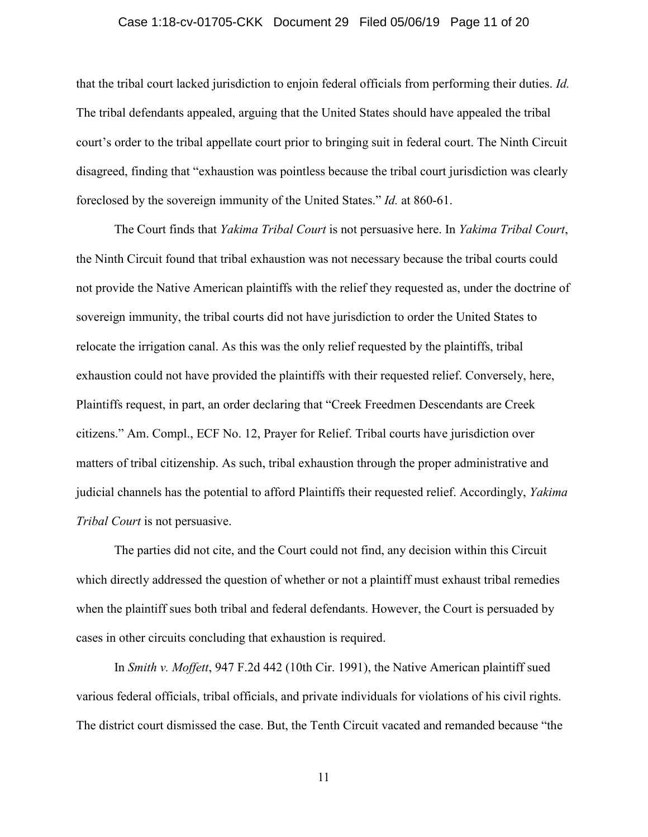### Case 1:18-cv-01705-CKK Document 29 Filed 05/06/19 Page 11 of 20

that the tribal court lacked jurisdiction to enjoin federal officials from performing their duties. *Id.* The tribal defendants appealed, arguing that the United States should have appealed the tribal court's order to the tribal appellate court prior to bringing suit in federal court. The Ninth Circuit disagreed, finding that "exhaustion was pointless because the tribal court jurisdiction was clearly foreclosed by the sovereign immunity of the United States." *Id.* at 860-61.

The Court finds that *Yakima Tribal Court* is not persuasive here. In *Yakima Tribal Court*, the Ninth Circuit found that tribal exhaustion was not necessary because the tribal courts could not provide the Native American plaintiffs with the relief they requested as, under the doctrine of sovereign immunity, the tribal courts did not have jurisdiction to order the United States to relocate the irrigation canal. As this was the only relief requested by the plaintiffs, tribal exhaustion could not have provided the plaintiffs with their requested relief. Conversely, here, Plaintiffs request, in part, an order declaring that "Creek Freedmen Descendants are Creek citizens." Am. Compl., ECF No. 12, Prayer for Relief. Tribal courts have jurisdiction over matters of tribal citizenship. As such, tribal exhaustion through the proper administrative and judicial channels has the potential to afford Plaintiffs their requested relief. Accordingly, *Yakima Tribal Court* is not persuasive.

The parties did not cite, and the Court could not find, any decision within this Circuit which directly addressed the question of whether or not a plaintiff must exhaust tribal remedies when the plaintiff sues both tribal and federal defendants. However, the Court is persuaded by cases in other circuits concluding that exhaustion is required.

In *Smith v. Moffett*, 947 F.2d 442 (10th Cir. 1991), the Native American plaintiff sued various federal officials, tribal officials, and private individuals for violations of his civil rights. The district court dismissed the case. But, the Tenth Circuit vacated and remanded because "the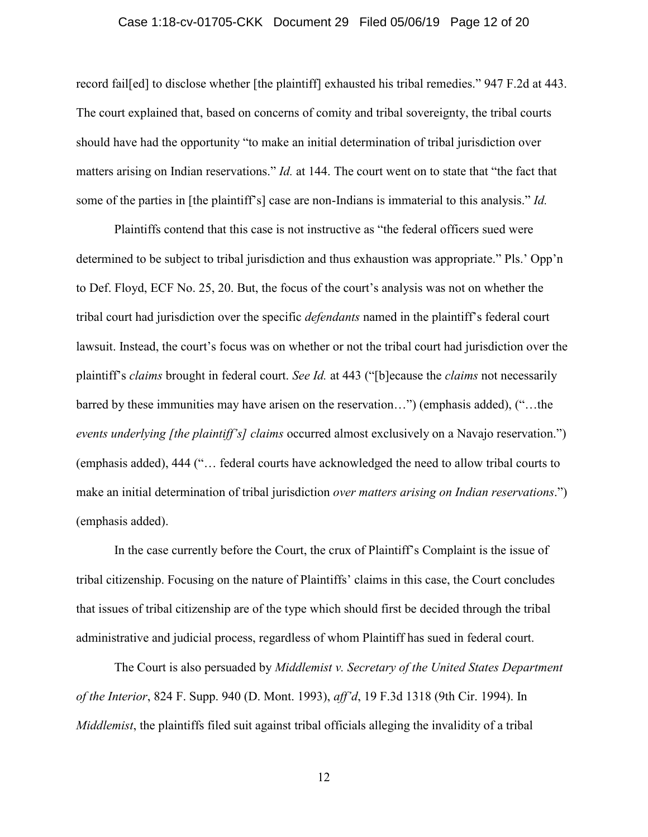### Case 1:18-cv-01705-CKK Document 29 Filed 05/06/19 Page 12 of 20

record fail[ed] to disclose whether [the plaintiff] exhausted his tribal remedies." 947 F.2d at 443. The court explained that, based on concerns of comity and tribal sovereignty, the tribal courts should have had the opportunity "to make an initial determination of tribal jurisdiction over matters arising on Indian reservations." *Id.* at 144. The court went on to state that "the fact that some of the parties in [the plaintiff's] case are non-Indians is immaterial to this analysis." *Id.*

Plaintiffs contend that this case is not instructive as "the federal officers sued were determined to be subject to tribal jurisdiction and thus exhaustion was appropriate." Pls.' Opp'n to Def. Floyd, ECF No. 25, 20. But, the focus of the court's analysis was not on whether the tribal court had jurisdiction over the specific *defendants* named in the plaintiff's federal court lawsuit. Instead, the court's focus was on whether or not the tribal court had jurisdiction over the plaintiff's *claims* brought in federal court. *See Id.* at 443 ("[b]ecause the *claims* not necessarily barred by these immunities may have arisen on the reservation…") (emphasis added), ("…the *events underlying [the plaintiff's] claims* occurred almost exclusively on a Navajo reservation.") (emphasis added), 444 ("… federal courts have acknowledged the need to allow tribal courts to make an initial determination of tribal jurisdiction *over matters arising on Indian reservations*.") (emphasis added).

In the case currently before the Court, the crux of Plaintiff's Complaint is the issue of tribal citizenship. Focusing on the nature of Plaintiffs' claims in this case, the Court concludes that issues of tribal citizenship are of the type which should first be decided through the tribal administrative and judicial process, regardless of whom Plaintiff has sued in federal court.

The Court is also persuaded by *Middlemist v. Secretary of the United States Department of the Interior*, 824 F. Supp. 940 (D. Mont. 1993), *aff'd*, 19 F.3d 1318 (9th Cir. 1994). In *Middlemist*, the plaintiffs filed suit against tribal officials alleging the invalidity of a tribal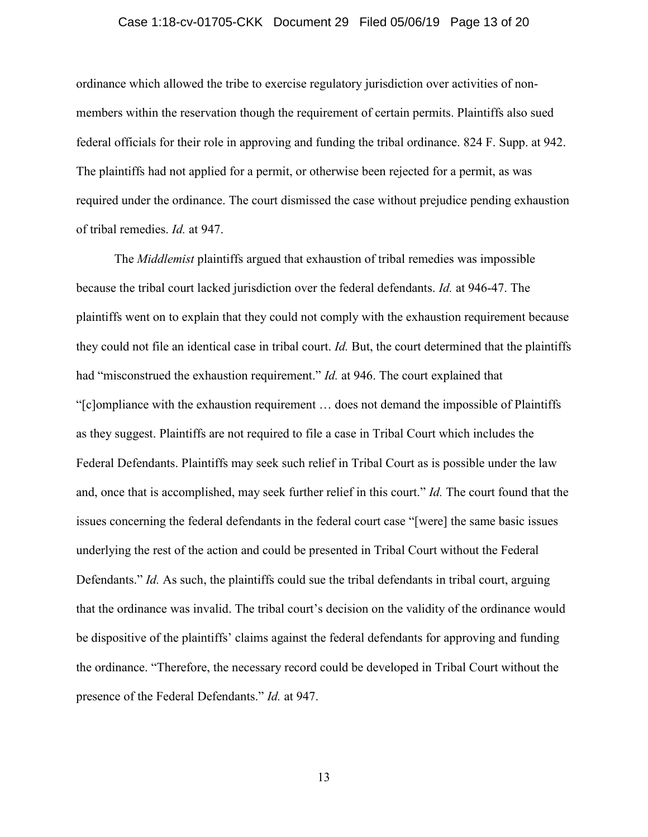### Case 1:18-cv-01705-CKK Document 29 Filed 05/06/19 Page 13 of 20

ordinance which allowed the tribe to exercise regulatory jurisdiction over activities of nonmembers within the reservation though the requirement of certain permits. Plaintiffs also sued federal officials for their role in approving and funding the tribal ordinance. 824 F. Supp. at 942. The plaintiffs had not applied for a permit, or otherwise been rejected for a permit, as was required under the ordinance. The court dismissed the case without prejudice pending exhaustion of tribal remedies. *Id.* at 947.

The *Middlemist* plaintiffs argued that exhaustion of tribal remedies was impossible because the tribal court lacked jurisdiction over the federal defendants. *Id.* at 946-47. The plaintiffs went on to explain that they could not comply with the exhaustion requirement because they could not file an identical case in tribal court. *Id.* But, the court determined that the plaintiffs had "misconstrued the exhaustion requirement." *Id.* at 946. The court explained that "[c]ompliance with the exhaustion requirement … does not demand the impossible of Plaintiffs as they suggest. Plaintiffs are not required to file a case in Tribal Court which includes the Federal Defendants. Plaintiffs may seek such relief in Tribal Court as is possible under the law and, once that is accomplished, may seek further relief in this court." *Id.* The court found that the issues concerning the federal defendants in the federal court case "[were] the same basic issues underlying the rest of the action and could be presented in Tribal Court without the Federal Defendants." *Id.* As such, the plaintiffs could sue the tribal defendants in tribal court, arguing that the ordinance was invalid. The tribal court's decision on the validity of the ordinance would be dispositive of the plaintiffs' claims against the federal defendants for approving and funding the ordinance. "Therefore, the necessary record could be developed in Tribal Court without the presence of the Federal Defendants." *Id.* at 947.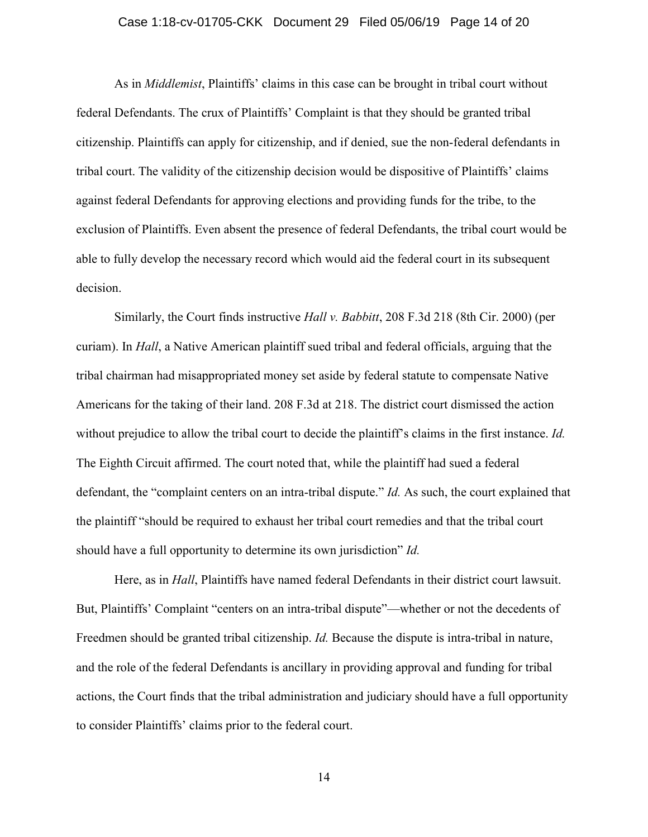### Case 1:18-cv-01705-CKK Document 29 Filed 05/06/19 Page 14 of 20

As in *Middlemist*, Plaintiffs' claims in this case can be brought in tribal court without federal Defendants. The crux of Plaintiffs' Complaint is that they should be granted tribal citizenship. Plaintiffs can apply for citizenship, and if denied, sue the non-federal defendants in tribal court. The validity of the citizenship decision would be dispositive of Plaintiffs' claims against federal Defendants for approving elections and providing funds for the tribe, to the exclusion of Plaintiffs. Even absent the presence of federal Defendants, the tribal court would be able to fully develop the necessary record which would aid the federal court in its subsequent decision.

Similarly, the Court finds instructive *Hall v. Babbitt*, 208 F.3d 218 (8th Cir. 2000) (per curiam). In *Hall*, a Native American plaintiff sued tribal and federal officials, arguing that the tribal chairman had misappropriated money set aside by federal statute to compensate Native Americans for the taking of their land. 208 F.3d at 218. The district court dismissed the action without prejudice to allow the tribal court to decide the plaintiff's claims in the first instance. *Id.* The Eighth Circuit affirmed. The court noted that, while the plaintiff had sued a federal defendant, the "complaint centers on an intra-tribal dispute." *Id.* As such, the court explained that the plaintiff "should be required to exhaust her tribal court remedies and that the tribal court should have a full opportunity to determine its own jurisdiction" *Id.*

Here, as in *Hall*, Plaintiffs have named federal Defendants in their district court lawsuit. But, Plaintiffs' Complaint "centers on an intra-tribal dispute"—whether or not the decedents of Freedmen should be granted tribal citizenship. *Id.* Because the dispute is intra-tribal in nature, and the role of the federal Defendants is ancillary in providing approval and funding for tribal actions, the Court finds that the tribal administration and judiciary should have a full opportunity to consider Plaintiffs' claims prior to the federal court.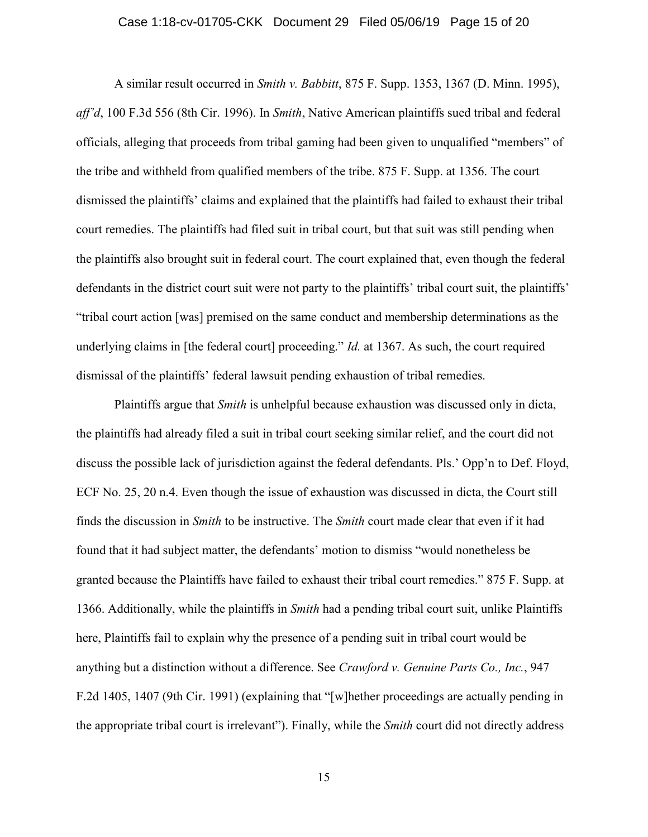#### Case 1:18-cv-01705-CKK Document 29 Filed 05/06/19 Page 15 of 20

A similar result occurred in *Smith v. Babbitt*, 875 F. Supp. 1353, 1367 (D. Minn. 1995), *aff'd*, 100 F.3d 556 (8th Cir. 1996). In *Smith*, Native American plaintiffs sued tribal and federal officials, alleging that proceeds from tribal gaming had been given to unqualified "members" of the tribe and withheld from qualified members of the tribe. 875 F. Supp. at 1356. The court dismissed the plaintiffs' claims and explained that the plaintiffs had failed to exhaust their tribal court remedies. The plaintiffs had filed suit in tribal court, but that suit was still pending when the plaintiffs also brought suit in federal court. The court explained that, even though the federal defendants in the district court suit were not party to the plaintiffs' tribal court suit, the plaintiffs' "tribal court action [was] premised on the same conduct and membership determinations as the underlying claims in [the federal court] proceeding." *Id.* at 1367. As such, the court required dismissal of the plaintiffs' federal lawsuit pending exhaustion of tribal remedies.

Plaintiffs argue that *Smith* is unhelpful because exhaustion was discussed only in dicta, the plaintiffs had already filed a suit in tribal court seeking similar relief, and the court did not discuss the possible lack of jurisdiction against the federal defendants. Pls.' Opp'n to Def. Floyd, ECF No. 25, 20 n.4. Even though the issue of exhaustion was discussed in dicta, the Court still finds the discussion in *Smith* to be instructive. The *Smith* court made clear that even if it had found that it had subject matter, the defendants' motion to dismiss "would nonetheless be granted because the Plaintiffs have failed to exhaust their tribal court remedies." 875 F. Supp. at 1366. Additionally, while the plaintiffs in *Smith* had a pending tribal court suit, unlike Plaintiffs here, Plaintiffs fail to explain why the presence of a pending suit in tribal court would be anything but a distinction without a difference. See *Crawford v. Genuine Parts Co., Inc.*, 947 F.2d 1405, 1407 (9th Cir. 1991) (explaining that "[w]hether proceedings are actually pending in the appropriate tribal court is irrelevant"). Finally, while the *Smith* court did not directly address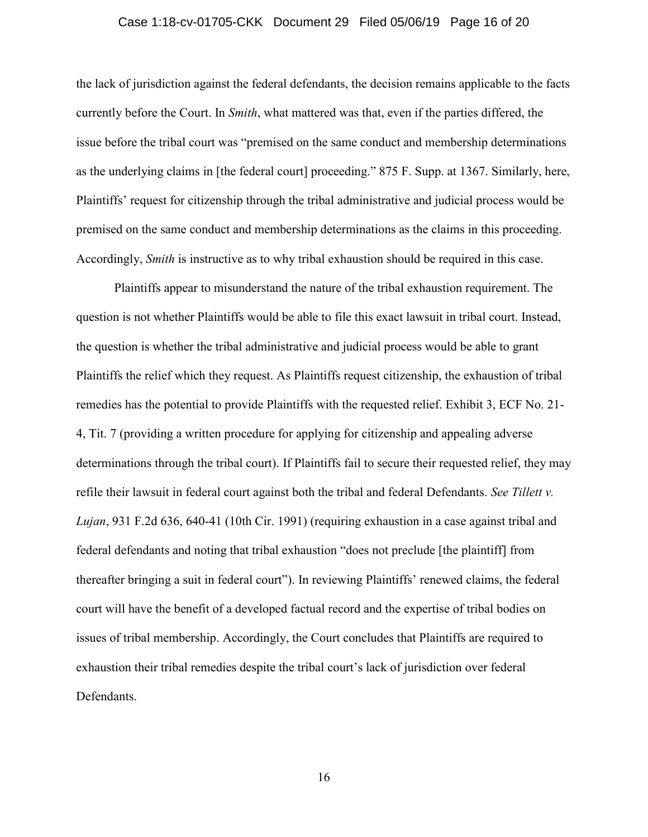#### Case 1:18-cv-01705-CKK Document 29 Filed 05/06/19 Page 16 of 20

the lack of jurisdiction against the federal defendants, the decision remains applicable to the facts currently before the Court. In *Smith*, what mattered was that, even if the parties differed, the issue before the tribal court was "premised on the same conduct and membership determinations as the underlying claims in [the federal court] proceeding." 875 F. Supp. at 1367. Similarly, here, Plaintiffs' request for citizenship through the tribal administrative and judicial process would be premised on the same conduct and membership determinations as the claims in this proceeding. Accordingly, *Smith* is instructive as to why tribal exhaustion should be required in this case.

Plaintiffs appear to misunderstand the nature of the tribal exhaustion requirement. The question is not whether Plaintiffs would be able to file this exact lawsuit in tribal court. Instead, the question is whether the tribal administrative and judicial process would be able to grant Plaintiffs the relief which they request. As Plaintiffs request citizenship, the exhaustion of tribal remedies has the potential to provide Plaintiffs with the requested relief. Exhibit 3, ECF No. 21- 4, Tit. 7 (providing a written procedure for applying for citizenship and appealing adverse determinations through the tribal court). If Plaintiffs fail to secure their requested relief, they may refile their lawsuit in federal court against both the tribal and federal Defendants. *See Tillett v. Lujan*, 931 F.2d 636, 640-41 (10th Cir. 1991) (requiring exhaustion in a case against tribal and federal defendants and noting that tribal exhaustion "does not preclude [the plaintiff] from thereafter bringing a suit in federal court"). In reviewing Plaintiffs' renewed claims, the federal court will have the benefit of a developed factual record and the expertise of tribal bodies on issues of tribal membership. Accordingly, the Court concludes that Plaintiffs are required to exhaustion their tribal remedies despite the tribal court's lack of jurisdiction over federal Defendants.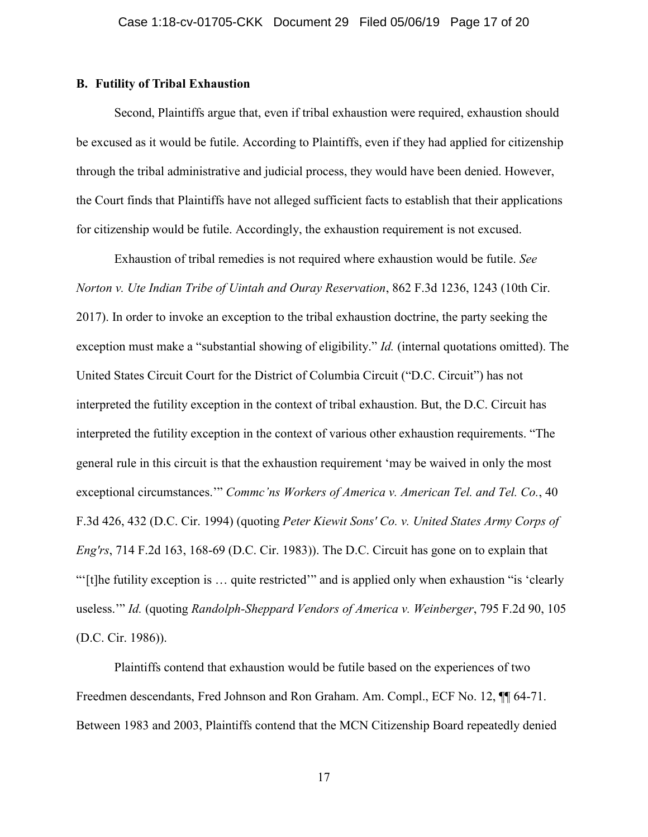# **B. Futility of Tribal Exhaustion**

Second, Plaintiffs argue that, even if tribal exhaustion were required, exhaustion should be excused as it would be futile. According to Plaintiffs, even if they had applied for citizenship through the tribal administrative and judicial process, they would have been denied. However, the Court finds that Plaintiffs have not alleged sufficient facts to establish that their applications for citizenship would be futile. Accordingly, the exhaustion requirement is not excused.

Exhaustion of tribal remedies is not required where exhaustion would be futile. *See Norton v. Ute Indian Tribe of Uintah and Ouray Reservation*, 862 F.3d 1236, 1243 (10th Cir. 2017). In order to invoke an exception to the tribal exhaustion doctrine, the party seeking the exception must make a "substantial showing of eligibility." *Id.* (internal quotations omitted). The United States Circuit Court for the District of Columbia Circuit ("D.C. Circuit") has not interpreted the futility exception in the context of tribal exhaustion. But, the D.C. Circuit has interpreted the futility exception in the context of various other exhaustion requirements. "The general rule in this circuit is that the exhaustion requirement 'may be waived in only the most exceptional circumstances.'" *Commc'ns Workers of America v. American Tel. and Tel. Co.*, 40 F.3d 426, 432 (D.C. Cir. 1994) (quoting *Peter Kiewit Sons' Co. v. United States Army Corps of Eng'rs*, 714 F.2d 163, 168-69 (D.C. Cir. 1983)). The D.C. Circuit has gone on to explain that "'[t]he futility exception is … quite restricted'" and is applied only when exhaustion "is 'clearly useless.'" *Id.* (quoting *Randolph-Sheppard Vendors of America v. Weinberger*, 795 F.2d 90, 105 (D.C. Cir. 1986)).

Plaintiffs contend that exhaustion would be futile based on the experiences of two Freedmen descendants, Fred Johnson and Ron Graham. Am. Compl., ECF No. 12,  $\P$  64-71. Between 1983 and 2003, Plaintiffs contend that the MCN Citizenship Board repeatedly denied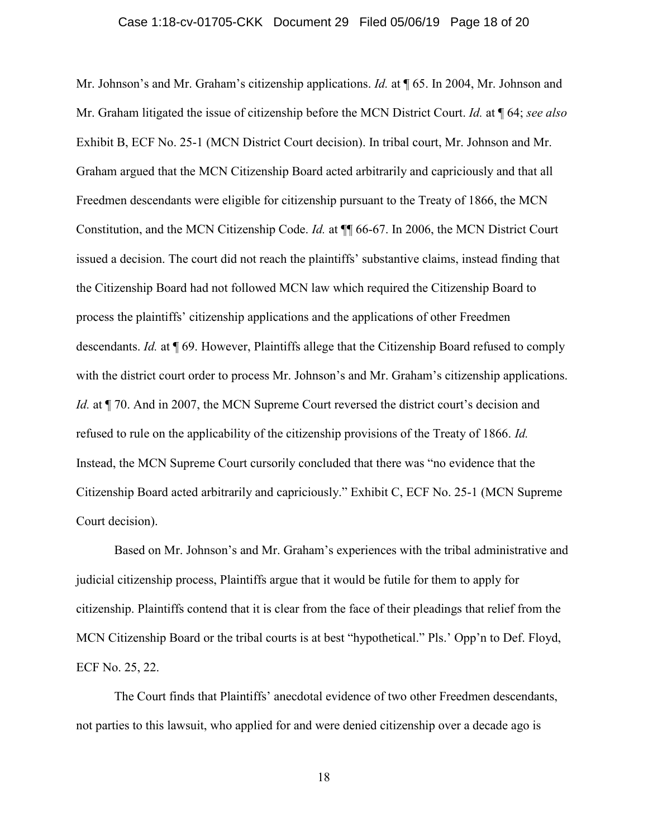### Case 1:18-cv-01705-CKK Document 29 Filed 05/06/19 Page 18 of 20

Mr. Johnson's and Mr. Graham's citizenship applications. *Id.* at  $\P$  65. In 2004, Mr. Johnson and Mr. Graham litigated the issue of citizenship before the MCN District Court. *Id.* at ¶ 64; *see also* Exhibit B, ECF No. 25-1 (MCN District Court decision). In tribal court, Mr. Johnson and Mr. Graham argued that the MCN Citizenship Board acted arbitrarily and capriciously and that all Freedmen descendants were eligible for citizenship pursuant to the Treaty of 1866, the MCN Constitution, and the MCN Citizenship Code. *Id.* at ¶¶ 66-67. In 2006, the MCN District Court issued a decision. The court did not reach the plaintiffs' substantive claims, instead finding that the Citizenship Board had not followed MCN law which required the Citizenship Board to process the plaintiffs' citizenship applications and the applications of other Freedmen descendants. *Id.* at ¶ 69. However, Plaintiffs allege that the Citizenship Board refused to comply with the district court order to process Mr. Johnson's and Mr. Graham's citizenship applications. *Id.* at  $\P$  70. And in 2007, the MCN Supreme Court reversed the district court's decision and refused to rule on the applicability of the citizenship provisions of the Treaty of 1866. *Id.* Instead, the MCN Supreme Court cursorily concluded that there was "no evidence that the Citizenship Board acted arbitrarily and capriciously." Exhibit C, ECF No. 25-1 (MCN Supreme Court decision).

Based on Mr. Johnson's and Mr. Graham's experiences with the tribal administrative and judicial citizenship process, Plaintiffs argue that it would be futile for them to apply for citizenship. Plaintiffs contend that it is clear from the face of their pleadings that relief from the MCN Citizenship Board or the tribal courts is at best "hypothetical." Pls.' Opp'n to Def. Floyd, ECF No. 25, 22.

The Court finds that Plaintiffs' anecdotal evidence of two other Freedmen descendants, not parties to this lawsuit, who applied for and were denied citizenship over a decade ago is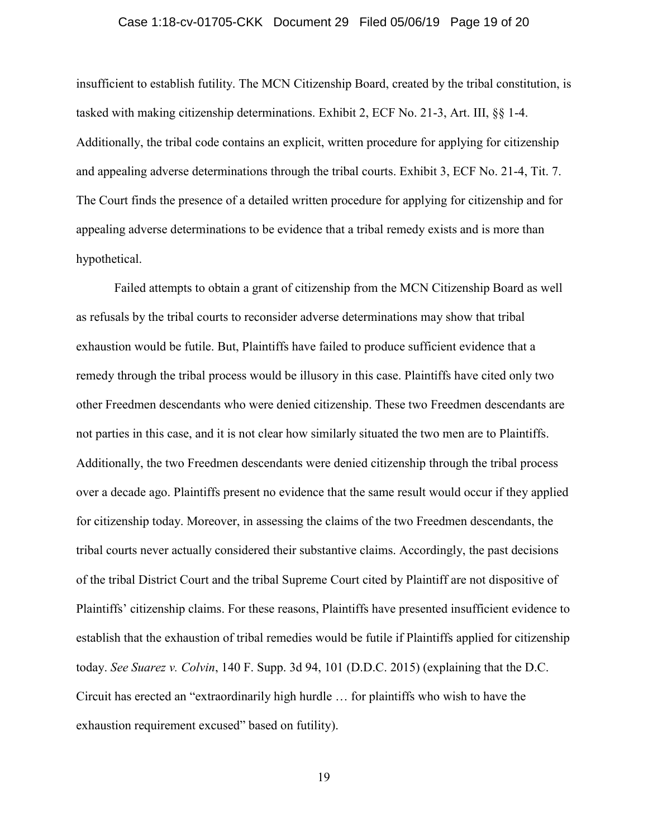### Case 1:18-cv-01705-CKK Document 29 Filed 05/06/19 Page 19 of 20

insufficient to establish futility. The MCN Citizenship Board, created by the tribal constitution, is tasked with making citizenship determinations. Exhibit 2, ECF No. 21-3, Art. III, §§ 1-4. Additionally, the tribal code contains an explicit, written procedure for applying for citizenship and appealing adverse determinations through the tribal courts. Exhibit 3, ECF No. 21-4, Tit. 7. The Court finds the presence of a detailed written procedure for applying for citizenship and for appealing adverse determinations to be evidence that a tribal remedy exists and is more than hypothetical.

Failed attempts to obtain a grant of citizenship from the MCN Citizenship Board as well as refusals by the tribal courts to reconsider adverse determinations may show that tribal exhaustion would be futile. But, Plaintiffs have failed to produce sufficient evidence that a remedy through the tribal process would be illusory in this case. Plaintiffs have cited only two other Freedmen descendants who were denied citizenship. These two Freedmen descendants are not parties in this case, and it is not clear how similarly situated the two men are to Plaintiffs. Additionally, the two Freedmen descendants were denied citizenship through the tribal process over a decade ago. Plaintiffs present no evidence that the same result would occur if they applied for citizenship today. Moreover, in assessing the claims of the two Freedmen descendants, the tribal courts never actually considered their substantive claims. Accordingly, the past decisions of the tribal District Court and the tribal Supreme Court cited by Plaintiff are not dispositive of Plaintiffs' citizenship claims. For these reasons, Plaintiffs have presented insufficient evidence to establish that the exhaustion of tribal remedies would be futile if Plaintiffs applied for citizenship today. *See Suarez v. Colvin*, 140 F. Supp. 3d 94, 101 (D.D.C. 2015) (explaining that the D.C. Circuit has erected an "extraordinarily high hurdle … for plaintiffs who wish to have the exhaustion requirement excused" based on futility).